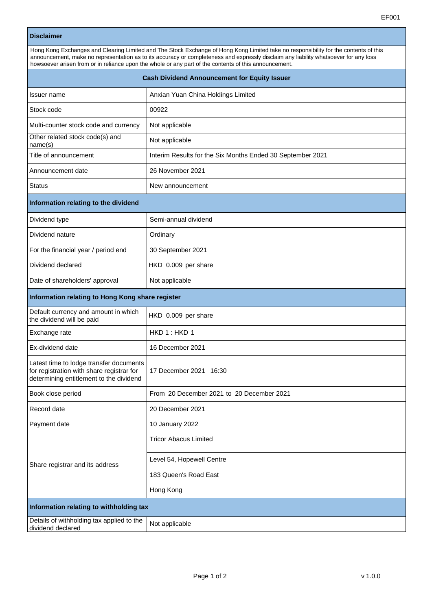## **Disclaimer**

| Hong Kong Exchanges and Clearing Limited and The Stock Exchange of Hong Kong Limited take no responsibility for the contents of this |  |
|--------------------------------------------------------------------------------------------------------------------------------------|--|
| announcement, make no representation as to its accuracy or completeness and expressly disclaim any liability whatsoever for any loss |  |
| howsoever arisen from or in reliance upon the whole or any part of the contents of this announcement.                                |  |

| <b>Cash Dividend Announcement for Equity Issuer</b>                                                                             |                                                            |  |
|---------------------------------------------------------------------------------------------------------------------------------|------------------------------------------------------------|--|
| Issuer name                                                                                                                     | Anxian Yuan China Holdings Limited                         |  |
| Stock code                                                                                                                      | 00922                                                      |  |
| Multi-counter stock code and currency                                                                                           | Not applicable                                             |  |
| Other related stock code(s) and<br>name(s)                                                                                      | Not applicable                                             |  |
| Title of announcement                                                                                                           | Interim Results for the Six Months Ended 30 September 2021 |  |
| Announcement date                                                                                                               | 26 November 2021                                           |  |
| <b>Status</b>                                                                                                                   | New announcement                                           |  |
| Information relating to the dividend                                                                                            |                                                            |  |
| Dividend type                                                                                                                   | Semi-annual dividend                                       |  |
| Dividend nature                                                                                                                 | Ordinary                                                   |  |
| For the financial year / period end                                                                                             | 30 September 2021                                          |  |
| Dividend declared                                                                                                               | HKD 0.009 per share                                        |  |
| Date of shareholders' approval                                                                                                  | Not applicable                                             |  |
| Information relating to Hong Kong share register                                                                                |                                                            |  |
| Default currency and amount in which<br>the dividend will be paid                                                               | HKD 0.009 per share                                        |  |
| Exchange rate                                                                                                                   | HKD 1: HKD 1                                               |  |
| Ex-dividend date                                                                                                                | 16 December 2021                                           |  |
| Latest time to lodge transfer documents<br>for registration with share registrar for<br>determining entitlement to the dividend | 17 December 2021 16:30                                     |  |
| Book close period                                                                                                               | From 20 December 2021 to 20 December 2021                  |  |
| Record date                                                                                                                     | 20 December 2021                                           |  |
| Payment date                                                                                                                    | 10 January 2022                                            |  |
| Share registrar and its address                                                                                                 | <b>Tricor Abacus Limited</b>                               |  |
|                                                                                                                                 | Level 54, Hopewell Centre                                  |  |
|                                                                                                                                 | 183 Queen's Road East                                      |  |
|                                                                                                                                 | Hong Kong                                                  |  |
| Information relating to withholding tax                                                                                         |                                                            |  |
| Details of withholding tax applied to the<br>dividend declared                                                                  | Not applicable                                             |  |